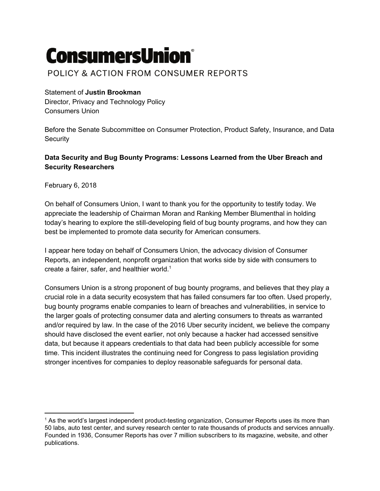# **ConsumersUnion®**

## POLICY & ACTION FROM CONSUMER REPORTS

### Statement of **Justin Brookman**

Director, Privacy and Technology Policy Consumers Union

Before the Senate Subcommittee on Consumer Protection, Product Safety, Insurance, and Data **Security** 

#### **Data Security and Bug Bounty Programs: Lessons Learned from the Uber Breach and Security Researchers**

February 6, 2018

On behalf of Consumers Union, I want to thank you for the opportunity to testify today. We appreciate the leadership of Chairman Moran and Ranking Member Blumenthal in holding today's hearing to explore the still-developing field of bug bounty programs, and how they can best be implemented to promote data security for American consumers.

I appear here today on behalf of Consumers Union, the advocacy division of Consumer Reports, an independent, nonprofit organization that works side by side with consumers to create a fairer, safer, and healthier world. 1

Consumers Union is a strong proponent of bug bounty programs, and believes that they play a crucial role in a data security ecosystem that has failed consumers far too often. Used properly, bug bounty programs enable companies to learn of breaches and vulnerabilities, in service to the larger goals of protecting consumer data and alerting consumers to threats as warranted and/or required by law. In the case of the 2016 Uber security incident, we believe the company should have disclosed the event earlier, not only because a hacker had accessed sensitive data, but because it appears credentials to that data had been publicly accessible for some time. This incident illustrates the continuing need for Congress to pass legislation providing stronger incentives for companies to deploy reasonable safeguards for personal data.

 $<sup>1</sup>$  As the world's largest independent product-testing organization, Consumer Reports uses its more than</sup> 50 labs, auto test center, and survey research center to rate thousands of products and services annually. Founded in 1936, Consumer Reports has over 7 million subscribers to its magazine, website, and other publications.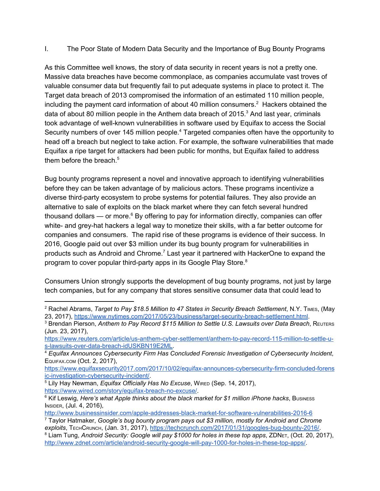I. The Poor State of Modern Data Security and the Importance of Bug Bounty Programs

As this Committee well knows, the story of data security in recent years is not a pretty one. Massive data breaches have become commonplace, as companies accumulate vast troves of valuable consumer data but frequently fail to put adequate systems in place to protect it. The Target data breach of 2013 compromised the information of an estimated 110 million people, including the payment card information of about 40 million consumers.<sup>2</sup> Hackers obtained the data of about 80 million people in the Anthem data breach of 2015. $3$  And last year, criminals took advantage of well-known vulnerabilities in software used by Equifax to access the Social Security numbers of over 145 million people.<sup>4</sup> Targeted companies often have the opportunity to head off a breach but neglect to take action. For example, the software vulnerabilities that made Equifax a ripe target for attackers had been public for months, but Equifax failed to address them before the breach. 5

Bug bounty programs represent a novel and innovative approach to identifying vulnerabilities before they can be taken advantage of by malicious actors. These programs incentivize a diverse third-party ecosystem to probe systems for potential failures. They also provide an alternative to sale of exploits on the black market where they can fetch several hundred thousand dollars — or more. $6$  By offering to pay for information directly, companies can offer white- and grey-hat hackers a legal way to monetize their skills, with a far better outcome for companies and consumers. The rapid rise of these programs is evidence of their success. In 2016, Google paid out over \$3 million under its bug bounty program for vulnerabilities in products such as Android and Chrome.<sup>7</sup> Last year it partnered with HackerOne to expand the program to cover popular third-party apps in its Google Play Store.<sup>8</sup>

Consumers Union strongly supports the development of bug bounty programs, not just by large tech companies, but for any company that stores sensitive consumer data that could lead to

<sup>2</sup> Rachel Abrams, *Target to Pay \$18.5 Million to 47 States in Security Breach Settlement*, N.Y. TIMES, (May 23, 2017), <https://www.nytimes.com/2017/05/23/business/target-security-breach-settlement.html>.

<sup>3</sup> Brendan Pierson, *Anthem to Pay Record \$115 Million to Settle U.S. Lawsuits over Data Breach*, REUTERS (Jun. 23, 2017),

[https://www.reuters.com/article/us-anthem-cyber-settlement/anthem-to-pay-record-115-million-to-settle-u](https://www.reuters.com/article/us-anthem-cyber-settlement/anthem-to-pay-record-115-million-to-settle-u-s-lawsuits-over-data-breach-idUSKBN19E2ML)[s-lawsuits-over-data-breach-idUSKBN19E2ML](https://www.reuters.com/article/us-anthem-cyber-settlement/anthem-to-pay-record-115-million-to-settle-u-s-lawsuits-over-data-breach-idUSKBN19E2ML).

<sup>4</sup> *Equifax Announces Cybersecurity Firm Has Concluded Forensic Investigation of Cybersecurity Incident*, EQUIFAX.COM (Oct. 2, 2017),

[https://www.equifaxsecurity2017.com/2017/10/02/equifax-announces-cybersecurity-firm-concluded-forens](https://www.equifaxsecurity2017.com/2017/10/02/equifax-announces-cybersecurity-firm-concluded-forensic-investigation-cybersecurity-incident/) [ic-investigation-cybersecurity-incident/.](https://www.equifaxsecurity2017.com/2017/10/02/equifax-announces-cybersecurity-firm-concluded-forensic-investigation-cybersecurity-incident/)

<sup>5</sup> Lily Hay Newman, *Equifax Officially Has No Excuse*, WIRED (Sep. 14, 2017), <https://www.wired.com/story/equifax-breach-no-excuse/>.

<sup>6</sup> Kif Leswig, *Here's what Apple thinks about the black market for \$1 million iPhone hacks*, BUSINESS INSIDER, (Jul. 4, 2016),

<http://www.businessinsider.com/apple-addresses-black-market-for-software-vulnerabilities-2016-6>

<sup>7</sup> Taylor Hatmaker, *Google's bug bounty program pays out \$3 million, mostly for Android and Chrome exploits*, TECHCRUNCH, (Jan. 31, 2017), <https://techcrunch.com/2017/01/31/googles-bug-bounty-2016/>.

<sup>8</sup> Liam Tung, *Android Security: Google will pay \$1000 for holes in these top apps*, ZDNET, (Oct. 20, 2017), [http://www.zdnet.com/article/android-security-google-will-pay-1000-for-holes-in-these-top-apps/.](http://www.zdnet.com/article/android-security-google-will-pay-1000-for-holes-in-these-top-apps/)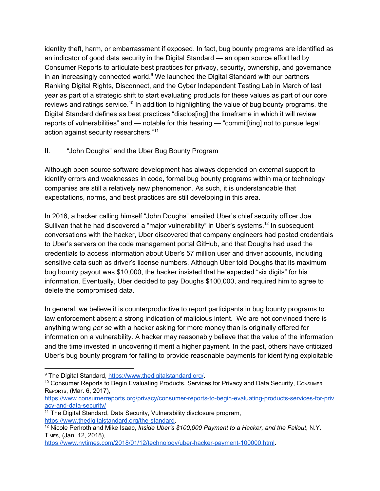identity theft, harm, or embarrassment if exposed. In fact, bug bounty programs are identified as an indicator of good data security in the Digital Standard — an open source effort led by Consumer Reports to articulate best practices for privacy, security, ownership, and governance in an increasingly connected world. $9$  We launched the Digital Standard with our partners Ranking Digital Rights, Disconnect, and the Cyber Independent Testing Lab in March of last year as part of a strategic shift to start evaluating products for these values as part of our core reviews and ratings service.<sup>10</sup> In addition to highlighting the value of bug bounty programs, the Digital Standard defines as best practices "disclos[ing] the timeframe in which it will review reports of vulnerabilities" and — notable for this hearing — "commit[ting] not to pursue legal action against security researchers."<sup>11</sup>

#### II. "John Doughs" and the Uber Bug Bounty Program

Although open source software development has always depended on external support to identify errors and weaknesses in code, formal bug bounty programs within major technology companies are still a relatively new phenomenon. As such, it is understandable that expectations, norms, and best practices are still developing in this area.

In 2016, a hacker calling himself "John Doughs" emailed Uber's chief security officer Joe Sullivan that he had discovered a "major vulnerability" in Uber's systems.<sup>12</sup> In subsequent conversations with the hacker, Uber discovered that company engineers had posted credentials to Uber's servers on the code management portal GitHub, and that Doughs had used the credentials to access information about Uber's 57 million user and driver accounts, including sensitive data such as driver's license numbers. Although Uber told Doughs that its maximum bug bounty payout was \$10,000, the hacker insisted that he expected "six digits" for his information. Eventually, Uber decided to pay Doughs \$100,000, and required him to agree to delete the compromised data.

In general, we believe it is counterproductive to report participants in bug bounty programs to law enforcement absent a strong indication of malicious intent. We are not convinced there is anything wrong *per se* with a hacker asking for more money than is originally offered for information on a vulnerability. A hacker may reasonably believe that the value of the information and the time invested in uncovering it merit a higher payment. In the past, others have criticized Uber's bug bounty program for failing to provide reasonable payments for identifying exploitable

<sup>9</sup> The Digital Standard, <https://www.thedigitalstandard.org/>.

<sup>&</sup>lt;sup>10</sup> Consumer Reports to Begin Evaluating Products, Services for Privacy and Data Security, CONSUMER REPORTS, (Mar. 6, 2017),

[https://www.consumerreports.org/privacy/consumer-reports-to-begin-evaluating-products-services-for-priv](https://www.consumerreports.org/privacy/consumer-reports-to-begin-evaluating-products-services-for-privacy-and-data-security/) [acy-and-data-security/](https://www.consumerreports.org/privacy/consumer-reports-to-begin-evaluating-products-services-for-privacy-and-data-security/)

<sup>&</sup>lt;sup>11</sup> The Digital Standard, Data Security, Vulnerability disclosure program, <https://www.thedigitalstandard.org/the-standard>.

<sup>12</sup> Nicole Perlroth and Mike Isaac, *Inside Uber's \$100,000 Payment to a Hacker, and the Fallout*, N.Y. TIMES, (Jan. 12, 2018),

<https://www.nytimes.com/2018/01/12/technology/uber-hacker-payment-100000.html>.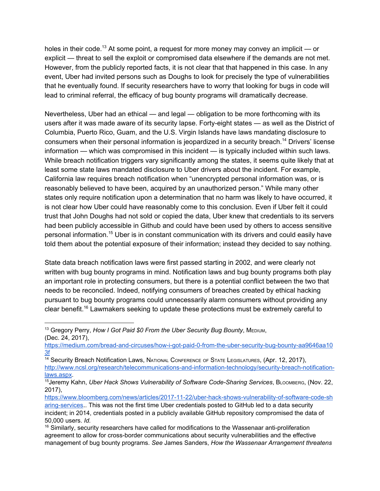holes in their code.<sup>13</sup> At some point, a request for more money may convey an implicit  $-$  or explicit — threat to sell the exploit or compromised data elsewhere if the demands are not met. However, from the publicly reported facts, it is not clear that that happened in this case. In any event, Uber had invited persons such as Doughs to look for precisely the type of vulnerabilities that he eventually found. If security researchers have to worry that looking for bugs in code will lead to criminal referral, the efficacy of bug bounty programs will dramatically decrease.

Nevertheless, Uber had an ethical — and legal — obligation to be more forthcoming with its users after it was made aware of its security lapse. Forty-eight states — as well as the District of Columbia, Puerto Rico, Guam, and the U.S. Virgin Islands have laws mandating disclosure to consumers when their personal information is jeopardized in a security breach.<sup>14</sup> Drivers' license information — which was compromised in this incident — is typically included within such laws. While breach notification triggers vary significantly among the states, it seems quite likely that at least some state laws mandated disclosure to Uber drivers about the incident. For example, California law requires breach notification when "unencrypted personal information was, or is reasonably believed to have been, acquired by an unauthorized person." While many other states only require notification upon a determination that no harm was likely to have occurred, it is not clear how Uber could have reasonably come to this conclusion. Even if Uber felt it could trust that John Doughs had not sold or copied the data, Uber knew that credentials to its servers had been publicly accessible in Github and could have been used by others to access sensitive personal information.<sup>15</sup> Uber is in constant communication with its drivers and could easily have told them about the potential exposure of their information; instead they decided to say nothing.

State data breach notification laws were first passed starting in 2002, and were clearly not written with bug bounty programs in mind. Notification laws and bug bounty programs both play an important role in protecting consumers, but there is a potential conflict between the two that needs to be reconciled. Indeed, notifying consumers of breaches created by ethical hacking pursuant to bug bounty programs could unnecessarily alarm consumers without providing any clear benefit.<sup>16</sup> Lawmakers seeking to update these protections must be extremely careful to

<sup>13</sup> Gregory Perry, *How I Got Paid \$0 From the Uber Security Bug Bounty*, MEDIUM, (Dec. 24, 2017),

[https://medium.com/bread-and-circuses/how-i-got-paid-0-from-the-uber-security-bug-bounty-aa9646aa10](https://medium.com/bread-and-circuses/how-i-got-paid-0-from-the-uber-security-bug-bounty-aa9646aa103f) [3f](https://medium.com/bread-and-circuses/how-i-got-paid-0-from-the-uber-security-bug-bounty-aa9646aa103f)

<sup>&</sup>lt;sup>14</sup> Security Breach Notification Laws, NATIONAL CONFERENCE OF STATE LEGISLATURES, (Apr. 12, 2017),

[http://www.ncsl.org/research/telecommunications-and-information-technology/security-breach-notification](http://www.ncsl.org/research/telecommunications-and-information-technology/security-breach-notification-laws.aspx)[laws.aspx.](http://www.ncsl.org/research/telecommunications-and-information-technology/security-breach-notification-laws.aspx)

<sup>15</sup>Jeremy Kahn, *Uber Hack Shows Vulnerability of Software Code-Sharing Services*, BLOOMBERG, (Nov. 22, 2017),

[https://www.bloomberg.com/news/articles/2017-11-22/uber-hack-shows-vulnerability-of-software-code-sh](https://www.bloomberg.com/news/articles/2017-11-22/uber-hack-shows-vulnerability-of-software-code-sharing-services)

[aring-services](https://www.bloomberg.com/news/articles/2017-11-22/uber-hack-shows-vulnerability-of-software-code-sharing-services).. This was not the first time Uber credentials posted to GitHub led to a data security incident; in 2014, credentials posted in a publicly available GitHub repository compromised the data of 50,000 users. *Id.*

 $16$  Similarly, security researchers have called for modifications to the Wassenaar anti-proliferation agreement to allow for cross-border communications about security vulnerabilities and the effective management of bug bounty programs. *See* James Sanders, *How the Wassenaar Arrangement threatens*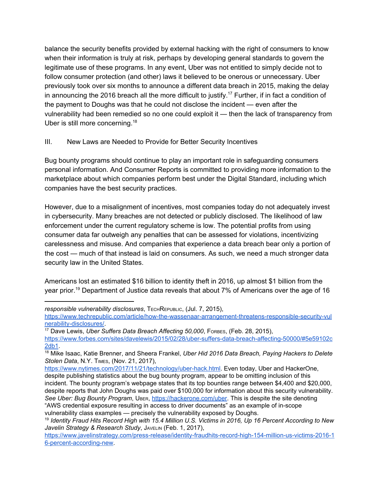balance the security benefits provided by external hacking with the right of consumers to know when their information is truly at risk, perhaps by developing general standards to govern the legitimate use of these programs. In any event, Uber was not entitled to simply decide not to follow consumer protection (and other) laws it believed to be onerous or unnecessary. Uber previously took over six months to announce a different data breach in 2015, making the delay in announcing the 2016 breach all the more difficult to justify.<sup>17</sup> Further, if in fact a condition of the payment to Doughs was that he could not disclose the incident — even after the vulnerability had been remedied so no one could exploit it — then the lack of transparency from Uber is still more concerning.<sup>18</sup>

#### III. New Laws are Needed to Provide for Better Security Incentives

Bug bounty programs should continue to play an important role in safeguarding consumers personal information. And Consumer Reports is committed to providing more information to the marketplace about which companies perform best under the Digital Standard, including which companies have the best security practices.

However, due to a misalignment of incentives, most companies today do not adequately invest in cybersecurity. Many breaches are not detected or publicly disclosed. The likelihood of law enforcement under the current regulatory scheme is low. The potential profits from using consumer data far outweigh any penalties that can be assessed for violations, incentivizing carelessness and misuse. And companies that experience a data breach bear only a portion of the cost — much of that instead is laid on consumers. As such, we need a much stronger data security law in the United States.

Americans lost an estimated \$16 billion to identity theft in 2016, up almost \$1 billion from the year prior.<sup>19</sup> Department of Justice data reveals that about 7% of Americans over the age of 16

*responsible vulnerability disclosures*, TECHREPUBLIC, (Jul. 7, 2015),

[https://www.techrepublic.com/article/how-the-wassenaar-arrangement-threatens-responsible-security-vul](https://www.techrepublic.com/article/how-the-wassenaar-arrangement-threatens-responsible-security-vulnerability-disclosures/) [nerability-disclosures/](https://www.techrepublic.com/article/how-the-wassenaar-arrangement-threatens-responsible-security-vulnerability-disclosures/).

<sup>17</sup> Dave Lewis, *Uber Suffers Data Breach Affecting 50,000*, FORBES, (Feb. 28, 2015), [https://www.forbes.com/sites/davelewis/2015/02/28/uber-suffers-data-breach-affecting-50000/#5e59102c](https://www.forbes.com/sites/davelewis/2015/02/28/uber-suffers-data-breach-affecting-50000/#5e59102c2db1) [2db1](https://www.forbes.com/sites/davelewis/2015/02/28/uber-suffers-data-breach-affecting-50000/#5e59102c2db1).

<sup>18</sup> Mike Isaac, Katie Brenner, and Sheera Frankel, *Uber Hid 2016 Data Breach, Paying Hackers to Delete Stolen Data*, N.Y. TIMES, (Nov. 21, 2017),

[https://www.nytimes.com/2017/11/21/technology/uber-hack.html.](https://www.nytimes.com/2017/11/21/technology/uber-hack.html) Even today, Uber and HackerOne, despite publishing statistics about the bug bounty program, appear to be omitting inclusion of this incident. The bounty program's webpage states that its top bounties range between \$4,400 and \$20,000, despite reports that John Doughs was paid over \$100,000 for information about this security vulnerability. *See Uber: Bug Bounty Program*, UBER, [https://hackerone.com/uber.](https://hackerone.com/uber) This is despite the site denoting "AWS credential exposure resulting in access to driver documents" as an example of in-scope vulnerability class examples — precisely the vulnerability exposed by Doughs.

<sup>&</sup>lt;sup>19</sup> Identity Fraud Hits Record High with 15.4 Million U.S. Victims in 2016, Up 16 Percent According to New *Javelin Strategy & Research Study*, JAVELIN (Feb. 1, 2017),

[https://www.javelinstrategy.com/press-release/identity-fraudhits-record-high-154-million-us-victims-2016-1](https://www.javelinstrategy.com/press-release/identity-fraudhits-record-high-154-million-us-victims-2016-16-percent-according-new) [6-percent-according-new](https://www.javelinstrategy.com/press-release/identity-fraudhits-record-high-154-million-us-victims-2016-16-percent-according-new).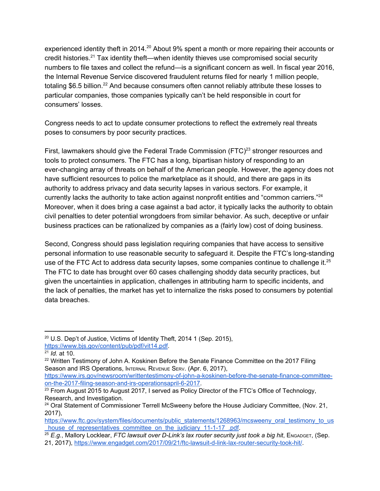experienced identity theft in 2014. $^{20}$  About 9% spent a month or more repairing their accounts or credit histories.<sup>21</sup> Tax identity theft—when identity thieves use compromised social security numbers to file taxes and collect the refund—is a significant concern as well. In fiscal year 2016, the Internal Revenue Service discovered fraudulent returns filed for nearly 1 million people, totaling \$6.5 billion.<sup>22</sup> And because consumers often cannot reliably attribute these losses to particular companies, those companies typically can't be held responsible in court for consumers' losses.

Congress needs to act to update consumer protections to reflect the extremely real threats poses to consumers by poor security practices.

First, lawmakers should give the Federal Trade Commission (FTC) $^{23}$  stronger resources and tools to protect consumers. The FTC has a long, bipartisan history of responding to an ever-changing array of threats on behalf of the American people. However, the agency does not have sufficient resources to police the marketplace as it should, and there are gaps in its authority to address privacy and data security lapses in various sectors. For example, it currently lacks the authority to take action against nonprofit entities and "common carriers."<sup>24</sup> Moreover, when it does bring a case against a bad actor, it typically lacks the authority to obtain civil penalties to deter potential wrongdoers from similar behavior. As such, deceptive or unfair business practices can be rationalized by companies as a (fairly low) cost of doing business.

Second, Congress should pass legislation requiring companies that have access to sensitive personal information to use reasonable security to safeguard it. Despite the FTC's long-standing use of the FTC Act to address data security lapses, some companies continue to challenge it. $^{25}$ The FTC to date has brought over 60 cases challenging shoddy data security practices, but given the uncertainties in application, challenges in attributing harm to specific incidents, and the lack of penalties, the market has yet to internalize the risks posed to consumers by potential data breaches.

<sup>&</sup>lt;sup>20</sup> U.S. Dep't of Justice, Victims of Identity Theft, 2014 1 (Sep. 2015).

<https://www.bjs.gov/content/pub/pdf/vit14.pdf>.

<sup>21</sup> *Id.* at 10.

 $22$  Written Testimony of John A. Koskinen Before the Senate Finance Committee on the 2017 Filing Season and IRS Operations, INTERNAL REVENUE SERV. (Apr. 6, 2017),

[https://www.irs.gov/newsroom/writtentestimony-of-john-a-koskinen-before-the-senate-finance-committee](https://www.irs.gov/newsroom/writtentestimony-of-john-a-koskinen-before-the-senate-finance-committee-on-the-2017-filing-season-and-irs-operationsapril-6-2017)[on-the-2017-filing-season-and-irs-operationsapril-6-2017](https://www.irs.gov/newsroom/writtentestimony-of-john-a-koskinen-before-the-senate-finance-committee-on-the-2017-filing-season-and-irs-operationsapril-6-2017).

 $23$  From August 2015 to August 2017, I served as Policy Director of the FTC's Office of Technology, Research, and Investigation.

<sup>&</sup>lt;sup>24</sup> Oral Statement of Commissioner Terrell McSweeny before the House Judiciary Committee, (Nov. 21, 2017),

[https://www.ftc.gov/system/files/documents/public\\_statements/1268963/mcsweeny\\_oral\\_testimony\\_to\\_us](https://www.ftc.gov/system/files/documents/public_statements/1268963/mcsweeny_oral_testimony_to_us_house_of_representatives_committee_on_the_judiciary_11-1-17_.pdf) house of representatives committee on the judiciary 11-1-17 .pdf.

<sup>25</sup> *E.g.*, Mallory Locklear, *FTC lawsuit over D-Link's lax router security just took a big hit*, ENGADGET, (Sep.

<sup>21,</sup> 2017), <https://www.engadget.com/2017/09/21/ftc-lawsuit-d-link-lax-router-security-took-hit/>.